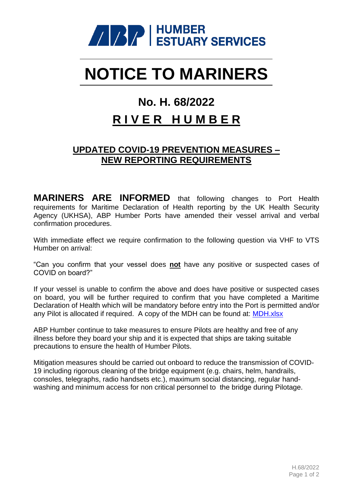

# **NOTICE TO MARINERS**

## **No. H. 68/2022**

### **R I V E R H U M B E R**

#### **UPDATED COVID-19 PREVENTION MEASURES – NEW REPORTING REQUIREMENTS**

**MARINERS ARE INFORMED** that following changes to Port Health requirements for Maritime Declaration of Health reporting by the UK Health Security Agency (UKHSA), ABP Humber Ports have amended their vessel arrival and verbal confirmation procedures.

With immediate effect we require confirmation to the following question via VHF to VTS Humber on arrival:

"Can you confirm that your vessel does **not** have any positive or suspected cases of COVID on board?"

If your vessel is unable to confirm the above and does have positive or suspected cases on board, you will be further required to confirm that you have completed a Maritime Declaration of Health which will be mandatory before entry into the Port is permitted and/or any Pilot is allocated if required. A copy of the MDH can be found at: [MDH.xlsx](https://view.officeapps.live.com/op/view.aspx?src=https%3A%2F%2Fmaritime.dft.gov.uk%2Fmaritime%2FHealth.xlsx&wdOrigin=BROWSELINK)

ABP Humber continue to take measures to ensure Pilots are healthy and free of any illness before they board your ship and it is expected that ships are taking suitable precautions to ensure the health of Humber Pilots.

Mitigation measures should be carried out onboard to reduce the transmission of COVID-19 including rigorous cleaning of the bridge equipment (e.g. chairs, helm, handrails, consoles, telegraphs, radio handsets etc.), maximum social distancing, regular handwashing and minimum access for non critical personnel to the bridge during Pilotage.